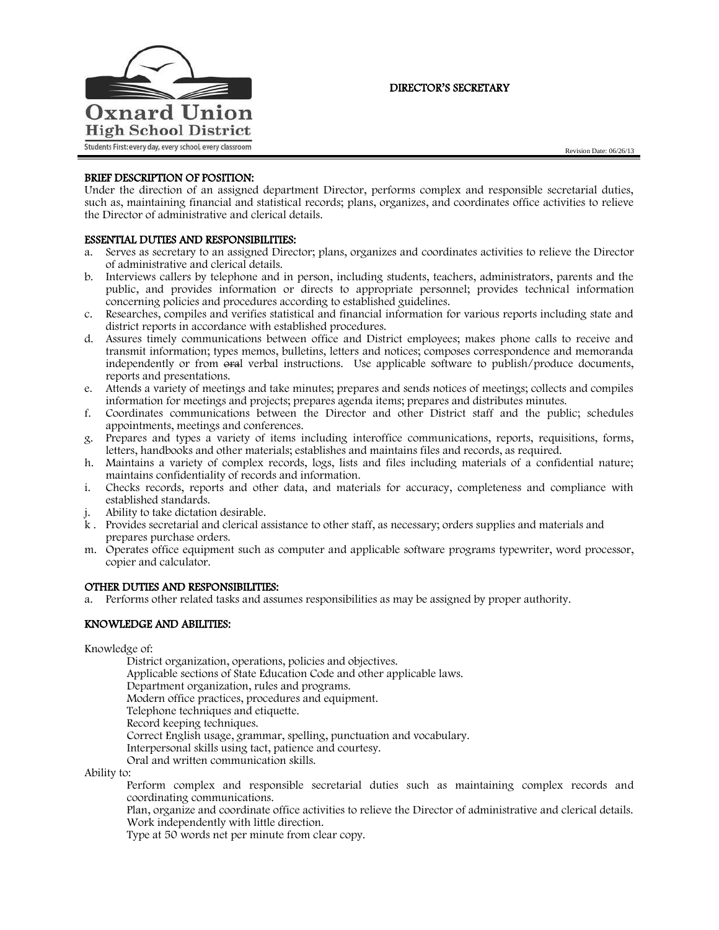

# DIRECTOR'S SECRETARY

# BRIEF DESCRIPTION OF POSITION:

Under the direction of an assigned department Director, performs complex and responsible secretarial duties, such as, maintaining financial and statistical records; plans, organizes, and coordinates office activities to relieve the Director of administrative and clerical details.

# ESSENTIAL DUTIES AND RESPONSIBILITIES:

- a. Serves as secretary to an assigned Director; plans, organizes and coordinates activities to relieve the Director of administrative and clerical details.
- b. Interviews callers by telephone and in person, including students, teachers, administrators, parents and the public, and provides information or directs to appropriate personnel; provides technical information concerning policies and procedures according to established guidelines.
- c. Researches, compiles and verifies statistical and financial information for various reports including state and district reports in accordance with established procedures.
- d. Assures timely communications between office and District employees; makes phone calls to receive and transmit information; types memos, bulletins, letters and notices; composes correspondence and memoranda independently or from oral verbal instructions. Use applicable software to publish/produce documents, reports and presentations.
- e. Attends a variety of meetings and take minutes; prepares and sends notices of meetings; collects and compiles information for meetings and projects; prepares agenda items; prepares and distributes minutes.
- f. Coordinates communications between the Director and other District staff and the public; schedules appointments, meetings and conferences.
- g. Prepares and types a variety of items including interoffice communications, reports, requisitions, forms, letters, handbooks and other materials; establishes and maintains files and records, as required.
- h. Maintains a variety of complex records, logs, lists and files including materials of a confidential nature; maintains confidentiality of records and information.
- i. Checks records, reports and other data, and materials for accuracy, completeness and compliance with established standards.
- j. Ability to take dictation desirable.
- k . Provides secretarial and clerical assistance to other staff, as necessary; orders supplies and materials and prepares purchase orders.
- m. Operates office equipment such as computer and applicable software programs typewriter, word processor, copier and calculator.

## OTHER DUTIES AND RESPONSIBILITIES:

a. Performs other related tasks and assumes responsibilities as may be assigned by proper authority.

## KNOWLEDGE AND ABILITIES:

Knowledge of:

District organization, operations, policies and objectives. Applicable sections of State Education Code and other applicable laws. Department organization, rules and programs. Modern office practices, procedures and equipment. Telephone techniques and etiquette. Record keeping techniques. Correct English usage, grammar, spelling, punctuation and vocabulary. Interpersonal skills using tact, patience and courtesy. Oral and written communication skills.

Ability to:

Perform complex and responsible secretarial duties such as maintaining complex records and coordinating communications.

Plan, organize and coordinate office activities to relieve the Director of administrative and clerical details. Work independently with little direction.

Type at 50 words net per minute from clear copy.